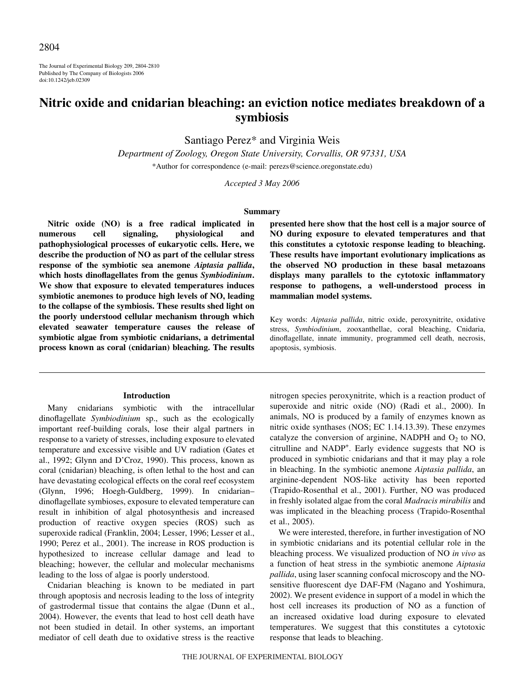The Journal of Experimental Biology 209, 2804-2810 Published by The Company of Biologists 2006 doi:10.1242/jeb.02309

# **Nitric oxide and cnidarian bleaching: an eviction notice mediates breakdown of a symbiosis**

Santiago Perez\* and Virginia Weis

*Department of Zoology, Oregon State University, Corvallis, OR 97331, USA* \*Author for correspondence (e-mail: perezs@science.oregonstate.edu)

*Accepted 3 May 2006*

### **Summary**

**Nitric oxide (NO) is a free radical implicated in numerous cell signaling, physiological and pathophysiological processes of eukaryotic cells. Here, we describe the production of NO as part of the cellular stress response of the symbiotic sea anemone** *Aiptasia pallida***, which hosts dinoflagellates from the genus** *Symbiodinium***. We show that exposure to elevated temperatures induces symbiotic anemones to produce high levels of NO, leading to the collapse of the symbiosis. These results shed light on the poorly understood cellular mechanism through which elevated seawater temperature causes the release of symbiotic algae from symbiotic cnidarians, a detrimental process known as coral (cnidarian) bleaching. The results**

### **Introduction**

Many cnidarians symbiotic with the intracellular dinoflagellate *Symbiodinium* sp., such as the ecologically important reef-building corals, lose their algal partners in response to a variety of stresses, including exposure to elevated temperature and excessive visible and UV radiation (Gates et al., 1992; Glynn and D'Croz, 1990). This process, known as coral (cnidarian) bleaching, is often lethal to the host and can have devastating ecological effects on the coral reef ecosystem (Glynn, 1996; Hoegh-Guldberg, 1999). In cnidarian– dinoflagellate symbioses, exposure to elevated temperature can result in inhibition of algal photosynthesis and increased production of reactive oxygen species (ROS) such as superoxide radical (Franklin, 2004; Lesser, 1996; Lesser et al., 1990; Perez et al., 2001). The increase in ROS production is hypothesized to increase cellular damage and lead to bleaching; however, the cellular and molecular mechanisms leading to the loss of algae is poorly understood.

Cnidarian bleaching is known to be mediated in part through apoptosis and necrosis leading to the loss of integrity of gastrodermal tissue that contains the algae (Dunn et al., 2004). However, the events that lead to host cell death have not been studied in detail. In other systems, an important mediator of cell death due to oxidative stress is the reactive

**presented here show that the host cell is a major source of NO during exposure to elevated temperatures and that this constitutes a cytotoxic response leading to bleaching. These results have important evolutionary implications as the observed NO production in these basal metazoans displays many parallels to the cytotoxic inflammatory response to pathogens, a well-understood process in mammalian model systems.**

Key words: *Aiptasia pallida*, nitric oxide, peroxynitrite, oxidative stress, *Symbiodinium*, zooxanthellae, coral bleaching, Cnidaria, dinoflagellate, innate immunity, programmed cell death, necrosis, apoptosis, symbiosis.

nitrogen species peroxynitrite, which is a reaction product of superoxide and nitric oxide (NO) (Radi et al., 2000). In animals, NO is produced by a family of enzymes known as nitric oxide synthases (NOS; EC 1.14.13.39). These enzymes catalyze the conversion of arginine, NADPH and  $O_2$  to NO, citrulline and NADP+. Early evidence suggests that NO is produced in symbiotic cnidarians and that it may play a role in bleaching. In the symbiotic anemone *Aiptasia pallida*, an arginine-dependent NOS-like activity has been reported (Trapido-Rosenthal et al., 2001). Further, NO was produced in freshly isolated algae from the coral *Madracis mirabilis* and was implicated in the bleaching process (Trapido-Rosenthal et al., 2005).

We were interested, therefore, in further investigation of NO in symbiotic cnidarians and its potential cellular role in the bleaching process. We visualized production of NO *in vivo* as a function of heat stress in the symbiotic anemone *Aiptasia pallida*, using laser scanning confocal microscopy and the NOsensitive fluorescent dye DAF-FM (Nagano and Yoshimura, 2002). We present evidence in support of a model in which the host cell increases its production of NO as a function of an increased oxidative load during exposure to elevated temperatures. We suggest that this constitutes a cytotoxic response that leads to bleaching.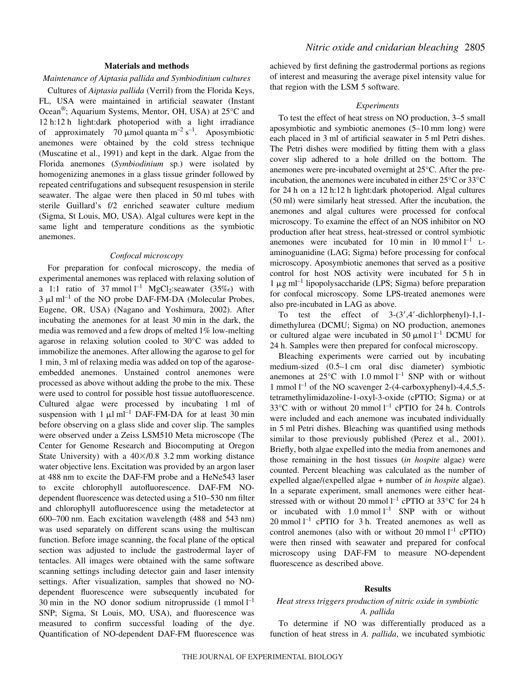### **Materials and methods**

#### *Maintenance of Aiptasia pallida and Symbiodinium cultures*

Cultures of *Aiptasia pallida* (Verril) from the Florida Keys, FL, USA were maintained in artificial seawater (Instant Ocean®; Aquarium Systems, Mentor, OH, USA) at 25°C and 12 h:12 h light:dark photoperiod with a light irradiance of approximately 70  $\mu$ mol quanta m<sup>-2</sup> s<sup>-1</sup>. Aposymbiotic anemones were obtained by the cold stress technique (Muscatine et al., 1991) and kept in the dark. Algae from the Florida anemones (*Symbiodinium* sp.) were isolated by homogenizing anemones in a glass tissue grinder followed by repeated centrifugations and subsequent resuspension in sterile seawater. The algae were then placed in 50 ml tubes with sterile Guillard's f/2 enriched seawater culture medium (Sigma, St Louis, MO, USA). Algal cultures were kept in the same light and temperature conditions as the symbiotic anemones.

### *Confocal microscopy*

For preparation for confocal microscopy, the media of experimental anemones was replaced with relaxing solution of a 1:1 ratio of 37 mmol  $l^{-1}$  MgCl<sub>2</sub>:seawater (35‰) with  $3 \mu I$  ml<sup>-1</sup> of the NO probe DAF-FM-DA (Molecular Probes, Eugene, OR, USA) (Nagano and Yoshimura, 2002). After incubating the anemones for at least 30 min in the dark, the media was removed and a few drops of melted 1% low-melting agarose in relaxing solution cooled to 30°C was added to immobilize the anemones. After allowing the agarose to gel for 1 min, 3 ml of relaxing media was added on top of the agaroseembedded anemones. Unstained control anemones were processed as above without adding the probe to the mix. These were used to control for possible host tissue autofluorescence. Cultured algae were processed by incubating 1 ml of suspension with  $1 \mu I$  ml<sup>-1</sup> DAF-FM-DA for at least 30 min before observing on a glass slide and cover slip. The samples were observed under a Zeiss LSM510 Meta microscope (The Center for Genome Research and Biocomputing at Oregon State University) with a  $40\times/0.8$  3.2 mm working distance water objective lens. Excitation was provided by an argon laser at 488 nm to excite the DAF-FM probe and a HeNe543 laser to excite chlorophyll autofluorescence. DAF-FM NOdependent fluorescence was detected using a 510–530 nm filter and chlorophyll autofluorescence using the metadetector at 600–700 nm. Each excitation wavelength (488 and 543 nm) was used separately on different scans using the multiscan function. Before image scanning, the focal plane of the optical section was adjusted to include the gastrodermal layer of tentacles. All images were obtained with the same software scanning settings including detector gain and laser intensity settings. After visualization, samples that showed no NOdependent fluorescence were subsequently incubated for 30 min in the NO donor sodium nitroprusside  $(1 \text{ mmol } l^{-1})$ SNP; Sigma, St Louis, MO, USA), and fluorescence was measured to confirm successful loading of the dye. Quantification of NO-dependent DAF-FM fluorescence was

achieved by first defining the gastrodermal portions as regions of interest and measuring the average pixel intensity value for that region with the LSM 5 software.

#### *Experiments*

To test the effect of heat stress on NO production, 3–5 small aposymbiotic and symbiotic anemones  $(5-10$  mm long) were each placed in 3 ml of artificial seawater in 5 ml Petri dishes. The Petri dishes were modified by fitting them with a glass cover slip adhered to a hole drilled on the bottom. The anemones were pre-incubated overnight at 25°C. After the preincubation, the anemones were incubated in either 25°C or 33°C for 24 h on a 12 h:12 h light:dark photoperiod. Algal cultures (50 ml) were similarly heat stressed. After the incubation, the anemones and algal cultures were processed for confocal microscopy. To examine the effect of an NOS inhibitor on NO production after heat stress, heat-stressed or control symbiotic anemones were incubated for 10 min in  $10 \text{ mmol} l^{-1}$  Laminoguanidine (LAG; Sigma) before processing for confocal microscopy. Aposymbiotic anemones that served as a positive control for host NOS activity were incubated for 5h in  $1 \mu$ g ml<sup>-1</sup> lipopolysaccharide (LPS; Sigma) before preparation for confocal microscopy. Some LPS-treated anemones were also pre-incubated in LAG as above.

To test the effect of  $3-(3',4'-dichlorphenyl)-1,1$ dimethylurea (DCMU; Sigma) on NO production, anemones or cultured algae were incubated in 50  $\mu$ mol l<sup>-1</sup> DCMU for 24 h. Samples were then prepared for confocal microscopy.

Bleaching experiments were carried out by incubating medium-sized  $(0.5-1 \text{ cm}$  oral disc diameter) symbiotic anemones at  $25^{\circ}$ C with 1.0 mmol  $l^{-1}$  SNP with or without 1 mmol  $l^{-1}$  of the NO scavenger 2-(4-carboxyphenyl)-4,4,5,5tetramethylimidazoline-1-oxyl-3-oxide (cPTIO; Sigma) or at 33 $\degree$ C with or without 20 mmol  $l^{-1}$  cPTIO for 24 h. Controls were included and each anemone was incubated individually in 5 ml Petri dishes. Bleaching was quantified using methods similar to those previously published (Perez et al., 2001). Briefly, both algae expelled into the media from anemones and those remaining in the host tissues (*in hospite* algae) were counted. Percent bleaching was calculated as the number of expelled algae/(expelled algae + number of *in hospite* algae). In a separate experiment, small anemones were either heatstressed with or without 20 mmol  $l^{-1}$  cPTIO at 33°C for 24 h or incubated with  $1.0 \text{ mmol } l^{-1}$  SNP with or without 20 mmol  $l^{-1}$  cPTIO for 3 h. Treated anemones as well as control anemones (also with or without 20 mmol  $l^{-1}$  cPTIO) were then rinsed with seawater and prepared for confocal microscopy using DAF-FM to measure NO-dependent fluorescence as described above.

### **Results**

# *Heat stress triggers production of nitric oxide in symbiotic A. pallida*

To determine if NO was differentially produced as a function of heat stress in *A. pallida*, we incubated symbiotic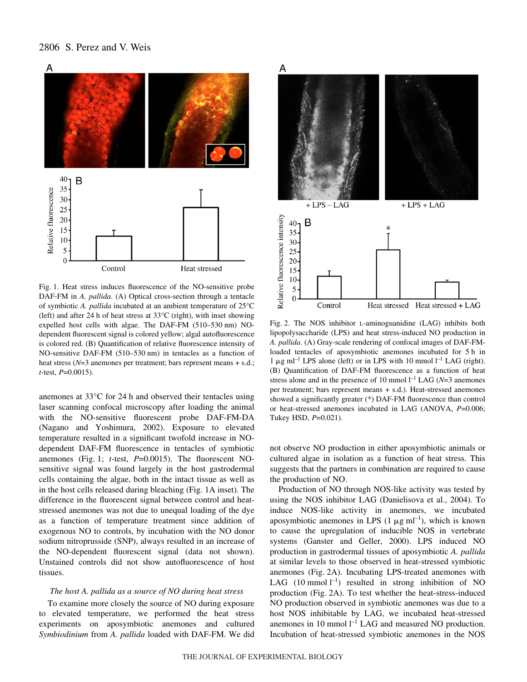# 2806 S. Perez and V. Weis



Fig. 1. Heat stress induces fluorescence of the NO-sensitive probe DAF-FM in *A. pallida*. (A) Optical cross-section through a tentacle of symbiotic *A. pallida* incubated at an ambient temperature of 25°C (left) and after 24 h of heat stress at  $33^{\circ}$ C (right), with inset showing expelled host cells with algae. The DAF-FM  $(510–530 \text{ nm})$  NOdependent fluorescent signal is colored yellow; algal autofluorescence is colored red. (B) Quantification of relative fluorescence intensity of NO-sensitive DAF-FM (510–530 nm) in tentacles as a function of heat stress ( $N=3$  anemones per treatment; bars represent means + s.d.; *t*-test, *P*=0.0015).

anemones at  $33^{\circ}$ C for 24 h and observed their tentacles using laser scanning confocal microscopy after loading the animal with the NO-sensitive fluorescent probe DAF-FM-DA (Nagano and Yoshimura, 2002). Exposure to elevated temperature resulted in a significant twofold increase in NOdependent DAF-FM fluorescence in tentacles of symbiotic anemones (Fig. 1; *t*-test, *P*=0.0015). The fluorescent NOsensitive signal was found largely in the host gastrodermal cells containing the algae, both in the intact tissue as well as in the host cells released during bleaching (Fig. 1A inset). The difference in the fluorescent signal between control and heatstressed anemones was not due to unequal loading of the dye as a function of temperature treatment since addition of exogenous NO to controls, by incubation with the NO donor sodium nitroprusside (SNP), always resulted in an increase of the NO-dependent fluorescent signal (data not shown). Unstained controls did not show autofluorescence of host tissues.

### *The host A. pallida as a source of NO during heat stress*

To examine more closely the source of NO during exposure to elevated temperature, we performed the heat stress experiments on aposymbiotic anemones and cultured *Symbiodinium* from *A. pallida* loaded with DAF-FM. We did



Fig. 2. The NOS inhibitor L-aminoguanidine (LAG) inhibits both lipopolysaccharide (LPS) and heat stress-induced NO production in *A. pallida*. (A) Gray-scale rendering of confocal images of DAF-FMloaded tentacles of aposymbiotic anemones incubated for 5 h in  $1 \mu$ g ml<sup>-1</sup> LPS alone (left) or in LPS with 10 mmol l<sup>-1</sup> LAG (right). (B) Quantification of DAF-FM fluorescence as a function of heat stress alone and in the presence of 10 mmol  $l^{-1}$  LAG ( $N=3$  anemones per treatment; bars represent means + s.d.). Heat-stressed anemones showed a significantly greater (\*) DAF-FM fluorescence than control or heat-stressed anemones incubated in LAG (ANOVA, *P*=0.006; Tukey HSD, *P*=0.021).

not observe NO production in either aposymbiotic animals or cultured algae in isolation as a function of heat stress. This suggests that the partners in combination are required to cause the production of NO.

Production of NO through NOS-like activity was tested by using the NOS inhibitor LAG (Danielisova et al., 2004). To induce NOS-like activity in anemones, we incubated aposymbiotic anemones in LPS  $(1 \mu g \text{ ml}^{-1})$ , which is known to cause the upregulation of inducible NOS in vertebrate systems (Ganster and Geller, 2000). LPS induced NO production in gastrodermal tissues of aposymbiotic *A. pallida* at similar levels to those observed in heat-stressed symbiotic anemones (Fig. 2A). Incubating LPS-treated anemones with LAG  $(10 \text{ mmol } l^{-1})$  resulted in strong inhibition of NO production (Fig. 2A). To test whether the heat-stress-induced NO production observed in symbiotic anemones was due to a host NOS inhibitable by LAG, we incubated heat-stressed anemones in 10 mmol  $l^{-1}$  LAG and measured NO production. Incubation of heat-stressed symbiotic anemones in the NOS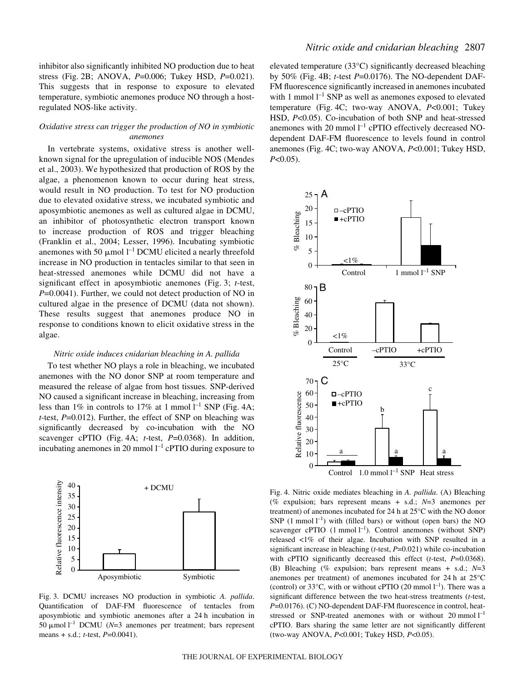inhibitor also significantly inhibited NO production due to heat stress (Fig. 2B; ANOVA, *P*=0.006; Tukey HSD, *P*=0.021). This suggests that in response to exposure to elevated temperature, symbiotic anemones produce NO through a hostregulated NOS-like activity.

# *Oxidative stress can trigger the production of NO in symbiotic anemones*

In vertebrate systems, oxidative stress is another wellknown signal for the upregulation of inducible NOS (Mendes et al., 2003). We hypothesized that production of ROS by the algae, a phenomenon known to occur during heat stress, would result in NO production. To test for NO production due to elevated oxidative stress, we incubated symbiotic and aposymbiotic anemones as well as cultured algae in DCMU, an inhibitor of photosynthetic electron transport known to increase production of ROS and trigger bleaching (Franklin et al., 2004; Lesser, 1996). Incubating symbiotic anemones with 50  $\mu$ mol l<sup>-1</sup> DCMU elicited a nearly threefold increase in NO production in tentacles similar to that seen in heat-stressed anemones while DCMU did not have a significant effect in aposymbiotic anemones (Fig. 3; *t*-test, *P*=0.0041). Further, we could not detect production of NO in cultured algae in the presence of DCMU (data not shown). These results suggest that anemones produce NO in response to conditions known to elicit oxidative stress in the algae.

## *Nitric oxide induces cnidarian bleaching in A. pallida*

To test whether NO plays a role in bleaching, we incubated anemones with the NO donor SNP at room temperature and measured the release of algae from host tissues. SNP-derived NO caused a significant increase in bleaching, increasing from less than  $1\%$  in controls to  $17\%$  at 1 mmol  $l^{-1}$  SNP (Fig. 4A; *t*-test, *P*=0.012). Further, the effect of SNP on bleaching was significantly decreased by co-incubation with the NO scavenger cPTIO (Fig. 4A; *t*-test, *P*=0.0368). In addition, incubating anemones in 20 mmol  $l^{-1}$  cPTIO during exposure to



Fig. 3. DCMU increases NO production in symbiotic *A. pallida*. Quantification of DAF-FM fluorescence of tentacles from aposymbiotic and symbiotic anemones after a 24<sup>h</sup> incubation in 50  $\mu$ mol l<sup>-1</sup> DCMU (N=3 anemones per treatment; bars represent means + s.d.; *t*-test, *P*=0.0041).

elevated temperature (33°C) significantly decreased bleaching by  $50\%$  (Fig. 4B; *t*-test *P*=0.0176). The NO-dependent DAF-FM fluorescence significantly increased in anemones incubated with 1 mmol  $l^{-1}$  SNP as well as anemones exposed to elevated temperature (Fig. 4C; two-way ANOVA, *P<0.001*; Tukey HSD, *P*<0.05). Co-incubation of both SNP and heat-stressed anemones with 20 mmol  $l^{-1}$  cPTIO effectively decreased NOdependent DAF-FM fluorescence to levels found in control anemones (Fig. 4C; two-way ANOVA,  $P<0.001$ ; Tukey HSD, *P*<0.05).



+ DCMU Fig. 4. Nitric oxide mediates bleaching in *A. pallida*. (A) Bleaching (% expulsion; bars represent means + s.d.; *N*=3 anemones per treatment) of anemones incubated for 24 h at  $25^{\circ}$ C with the NO donor SNP (1 mmol  $l^{-1}$ ) with (filled bars) or without (open bars) the NO scavenger cPTIO  $(1 \text{ mmol } l^{-1})$ . Control anemones (without SNP) released <1% of their algae. Incubation with SNP resulted in a significant increase in bleaching (*t*-test, *P*=0.021) while co-incubation with cPTIO significantly decreased this effect (*t*-test, *P*=0.0368). (B) Bleaching (% expulsion; bars represent means + s.d.; *N*=3 anemones per treatment) of anemones incubated for  $24 h$  at  $25^{\circ}$ C (control) or  $33^{\circ}$ C, with or without cPTIO (20 mmol  $l^{-1}$ ). There was a significant difference between the two heat-stress treatments (*t*-test, *P*=0.0176). (C) NO-dependent DAF-FM fluorescence in control, heatstressed or SNP-treated anemones with or without  $20$  mmol  $l^{-1}$ cPTIO. Bars sharing the same letter are not significantly different (two-way ANOVA, *P*<0.001; Tukey HSD, *P*<0.05).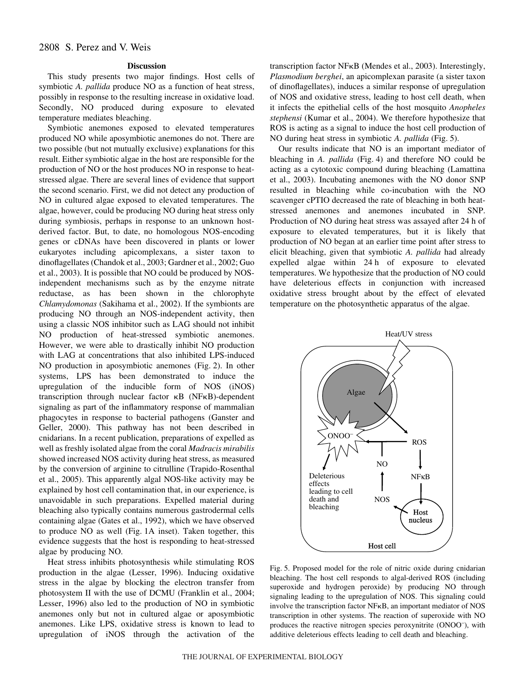### **Discussion**

This study presents two major findings. Host cells of symbiotic *A. pallida* produce NO as a function of heat stress, possibly in response to the resulting increase in oxidative load. Secondly, NO produced during exposure to elevated temperature mediates bleaching.

Symbiotic anemones exposed to elevated temperatures produced NO while aposymbiotic anemones do not. There are two possible (but not mutually exclusive) explanations for this result. Either symbiotic algae in the host are responsible for the production of NO or the host produces NO in response to heatstressed algae. There are several lines of evidence that support the second scenario. First, we did not detect any production of NO in cultured algae exposed to elevated temperatures. The algae, however, could be producing NO during heat stress only during symbiosis, perhaps in response to an unknown hostderived factor. But, to date, no homologous NOS-encoding genes or cDNAs have been discovered in plants or lower eukaryotes including apicomplexans, a sister taxon to dinoflagellates (Chandok et al., 2003; Gardner et al., 2002; Guo et al., 2003). It is possible that NO could be produced by NOSindependent mechanisms such as by the enzyme nitrate reductase, as has been shown in the chlorophyte *Chlamydomonas* (Sakihama et al., 2002). If the symbionts are producing NO through an NOS-independent activity, then using a classic NOS inhibitor such as LAG should not inhibit NO production of heat-stressed symbiotic anemones. However, we were able to drastically inhibit NO production with LAG at concentrations that also inhibited LPS-induced NO production in aposymbiotic anemones (Fig. 2). In other systems, LPS has been demonstrated to induce the upregulation of the inducible form of NOS (iNOS) transcription through nuclear factor  $\kappa$ B (NF $\kappa$ B)-dependent signaling as part of the inflammatory response of mammalian phagocytes in response to bacterial pathogens (Ganster and Geller, 2000). This pathway has not been described in cnidarians. In a recent publication, preparations of expelled as well as freshly isolated algae from the coral *Madracis mirabilis* showed increased NOS activity during heat stress, as measured by the conversion of arginine to citrulline (Trapido-Rosenthal et al., 2005). This apparently algal NOS-like activity may be explained by host cell contamination that, in our experience, is unavoidable in such preparations. Expelled material during bleaching also typically contains numerous gastrodermal cells containing algae (Gates et al., 1992), which we have observed to produce NO as well (Fig. 1A inset). Taken together, this evidence suggests that the host is responding to heat-stressed algae by producing NO.

Heat stress inhibits photosynthesis while stimulating ROS production in the algae (Lesser, 1996). Inducing oxidative stress in the algae by blocking the electron transfer from photosystem II with the use of DCMU (Franklin et al., 2004; Lesser, 1996) also led to the production of NO in symbiotic anemones only but not in cultured algae or aposymbiotic anemones. Like LPS, oxidative stress is known to lead to upregulation of iNOS through the activation of the

transcription factor NFKB (Mendes et al., 2003). Interestingly, *Plasmodium berghei*, an apicomplexan parasite (a sister taxon of dinoflagellates), induces a similar response of upregulation of NOS and oxidative stress, leading to host cell death, when it infects the epithelial cells of the host mosquito *Anopheles stephensi* (Kumar et al., 2004). We therefore hypothesize that ROS is acting as a signal to induce the host cell production of NO during heat stress in symbiotic *A. pallida* (Fig. 5).

Our results indicate that NO is an important mediator of bleaching in *A. pallida* (Fig. 4) and therefore NO could be acting as a cytotoxic compound during bleaching (Lamattina et al., 2003). Incubating anemones with the NO donor SNP resulted in bleaching while co-incubation with the NO scavenger cPTIO decreased the rate of bleaching in both heatstressed anemones and anemones incubated in SNP. Production of NO during heat stress was assayed after 24 h of exposure to elevated temperatures, but it is likely that production of NO began at an earlier time point after stress to elicit bleaching, given that symbiotic *A. pallida* had already expelled algae within 24 h of exposure to elevated temperatures. We hypothesize that the production of NO could have deleterious effects in conjunction with increased oxidative stress brought about by the effect of elevated temperature on the photosynthetic apparatus of the algae.



Fig. 5. Proposed model for the role of nitric oxide during cnidarian bleaching. The host cell responds to algal-derived ROS (including superoxide and hydrogen peroxide) by producing NO through signaling leading to the upregulation of NOS. This signaling could involve the transcription factor NFKB, an important mediator of NOS transcription in other systems. The reaction of superoxide with NO produces the reactive nitrogen species peroxynitrite (ONOO<sup>-</sup>), with additive deleterious effects leading to cell death and bleaching.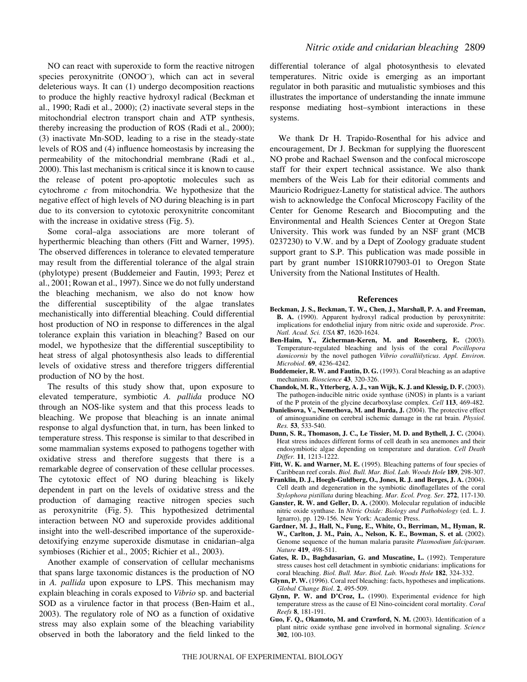NO can react with superoxide to form the reactive nitrogen species peroxynitrite (ONOO<sup>-</sup>), which can act in several deleterious ways. It can (1) undergo decomposition reactions to produce the highly reactive hydroxyl radical (Beckman et al., 1990; Radi et al., 2000); (2) inactivate several steps in the mitochondrial electron transport chain and ATP synthesis, thereby increasing the production of ROS (Radi et al., 2000); (3) inactivate Mn-SOD, leading to a rise in the steady-state levels of ROS and (4) influence homeostasis by increasing the permeability of the mitochondrial membrane (Radi et al., 2000). This last mechanism is critical since it is known to cause the release of potent pro-apoptotic molecules such as cytochrome *c* from mitochondria. We hypothesize that the negative effect of high levels of NO during bleaching is in part due to its conversion to cytotoxic peroxynitrite concomitant with the increase in oxidative stress (Fig. 5).

Some coral–alga associations are more tolerant of hyperthermic bleaching than others (Fitt and Warner, 1995). The observed differences in tolerance to elevated temperature may result from the differential tolerance of the algal strain (phylotype) present (Buddemeier and Fautin, 1993; Perez et al., 2001; Rowan et al., 1997). Since we do not fully understand the bleaching mechanism, we also do not know how the differential susceptibility of the algae translates mechanistically into differential bleaching. Could differential host production of NO in response to differences in the algal tolerance explain this variation in bleaching? Based on our model, we hypothesize that the differential susceptibility to heat stress of algal photosynthesis also leads to differential levels of oxidative stress and therefore triggers differential production of NO by the host.

The results of this study show that, upon exposure to elevated temperature, symbiotic *A. pallida* produce NO through an NOS-like system and that this process leads to bleaching. We propose that bleaching is an innate animal response to algal dysfunction that, in turn, has been linked to temperature stress. This response is similar to that described in some mammalian systems exposed to pathogens together with oxidative stress and therefore suggests that there is a remarkable degree of conservation of these cellular processes. The cytotoxic effect of NO during bleaching is likely dependent in part on the levels of oxidative stress and the production of damaging reactive nitrogen species such as peroxynitrite (Fig. 5). This hypothesized detrimental interaction between NO and superoxide provides additional insight into the well-described importance of the superoxidedetoxifying enzyme superoxide dismutase in cnidarian–alga symbioses (Richier et al., 2005; Richier et al., 2003).

Another example of conservation of cellular mechanisms that spans large taxonomic distances is the production of NO in *A. pallida* upon exposure to LPS. This mechanism may explain bleaching in corals exposed to *Vibrio* sp. and bacterial SOD as a virulence factor in that process (Ben-Haim et al., 2003). The regulatory role of NO as a function of oxidative stress may also explain some of the bleaching variability observed in both the laboratory and the field linked to the

differential tolerance of algal photosynthesis to elevated temperatures. Nitric oxide is emerging as an important regulator in both parasitic and mutualistic symbioses and this illustrates the importance of understanding the innate immune response mediating host–symbiont interactions in these systems.

We thank Dr H. Trapido-Rosenthal for his advice and encouragement, Dr J. Beckman for supplying the fluorescent NO probe and Rachael Swenson and the confocal microscope staff for their expert technical assistance. We also thank members of the Weis Lab for their editorial comments and Mauricio Rodriguez-Lanetty for statistical advice. The authors wish to acknowledge the Confocal Microscopy Facility of the Center for Genome Research and Biocomputing and the Environmental and Health Sciences Center at Oregon State University. This work was funded by an NSF grant (MCB 0237230) to V.W. and by a Dept of Zoology graduate student support grant to S.P. This publication was made possible in part by grant number 1S10RR107903-01 to Oregon State University from the National Institutes of Health.

#### **References**

- **Beckman, J. S., Beckman, T. W., Chen, J., Marshall, P. A. and Freeman, B. A.** (1990). Apparent hydroxyl radical production by peroxynitrite: implications for endothelial injury from nitric oxide and superoxide. *Proc. Natl. Acad. Sci. USA* **87**, 1620-1624.
- **Ben-Haim, Y., Zicherman-Keren, M. and Rosenberg, E.** (2003). Temperature-regulated bleaching and lysis of the coral *Pocillopora damicornis* by the novel pathogen *Vibrio coralliilyticus*. *Appl. Environ. Microbiol*. **69**, 4236-4242.
- **Buddemeier, R. W. and Fautin, D. G.** (1993). Coral bleaching as an adaptive mechanism. *Bioscience* **43**, 320-326.
- **Chandok, M. R., Ytterberg, A. J., van Wijk, K. J. and Klessig, D. F.** (2003). The pathogen-inducible nitric oxide synthase (iNOS) in plants is a variant of the P protein of the glycine decarboxylase complex. *Cell* **113**, 469-482.
- **Danielisova, V., Nemethova, M. and Burda, J.** (2004). The protective effect of aminoguanidine on cerebral ischemic damage in the rat brain. *Physiol. Res.* **53**, 533-540.
- **Dunn, S. R., Thomason, J. C., Le Tissier, M. D. and Bythell, J. C.** (2004). Heat stress induces different forms of cell death in sea anemones and their endosymbiotic algae depending on temperature and duration. *Cell Death Differ.* **11**, 1213-1222.
- Fitt, W. K. and Warner, M. E. (1995). Bleaching patterns of four species of Caribbean reef corals. *Biol. Bull. Mar. Biol. Lab. Woods Hole* **189**, 298-307.
- **Franklin, D. J., Hoegh-Guldberg, O., Jones, R. J. and Berges, J. A.** (2004). Cell death and degeneration in the symbiotic dinoflagellates of the coral *Stylophora pistillata* during bleaching. *Mar. Ecol. Prog. Ser*. **272**, 117-130.
- **Ganster, R. W. and Geller, D. A.** (2000). Molecular regulation of inducible nitric oxide synthase. In *Nitric Oxide: Biology and Pathobiology* (ed. L. J. Ignarro), pp. 129-156. New York: Academic Press.
- **Gardner, M. J., Hall, N., Fung, E., White, O., Berriman, M., Hyman, R. W., Carlton, J. M., Pain, A., Nelson, K. E., Bowman, S. et al.** (2002). Genome sequence of the human malaria parasite *Plasmodium falciparum*. *Nature* **419**, 498-511.
- **Gates, R. D., Baghdasarian, G. and Muscatine, L.** (1992). Temperature stress causes host cell detachment in symbiotic cnidarians: implications for coral bleaching. *Biol. Bull. Mar. Biol. Lab. Woods Hole* **182**, 324-332.
- **Glynn, P. W.** (1996). Coral reef bleaching: facts, hypotheses and implications. *Global Change Biol*. **2**, 495-509.
- **Glynn, P. W. and D'Croz, L.** (1990). Experimental evidence for high temperature stress as the cause of El Nino-coincident coral mortality. *Coral Reefs* **8**, 181-191.
- **Guo, F. Q., Okamoto, M. and Crawford, N. M.** (2003). Identification of a plant nitric oxide synthase gene involved in hormonal signaling. *Science* **302**, 100-103.